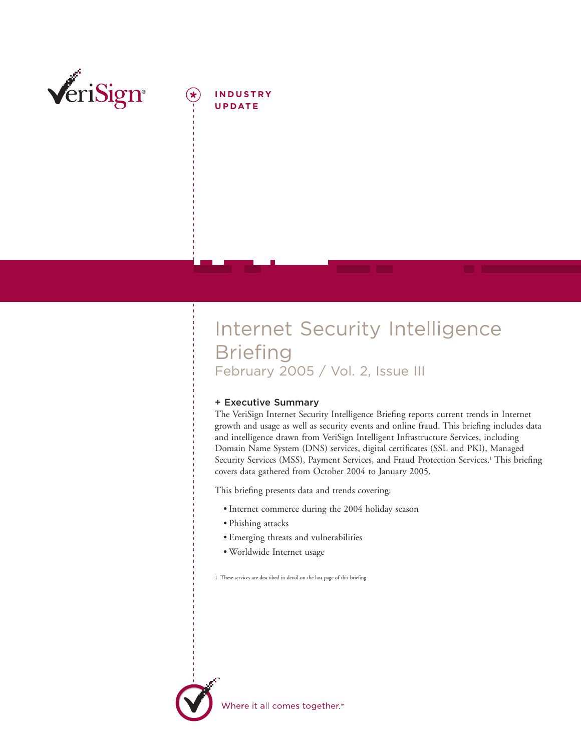

**I NDUSTRY UPDATE**

## Internet Security Intelligence **Briefing** February 2005 / Vol. 2, Issue III

#### **+ Executive Summary**

The VeriSign Internet Security Intelligence Briefing reports current trends in Internet growth and usage as well as security events and online fraud. This briefing includes data and intelligence drawn from VeriSign Intelligent Infrastructure Services, including Domain Name System (DNS) services, digital certificates (SSL and PKI), Managed Security Services (MSS), Payment Services, and Fraud Protection Services.<sup>1</sup> This briefing covers data gathered from October 2004 to January 2005.

This briefing presents data and trends covering:

- Internet commerce during the 2004 holiday season
- Phishing attacks
- Emerging threats and vulnerabilities
- Worldwide Internet usage

1 These services are described in detail on the last page of this briefing.



Where it all comes together.<sup>™</sup>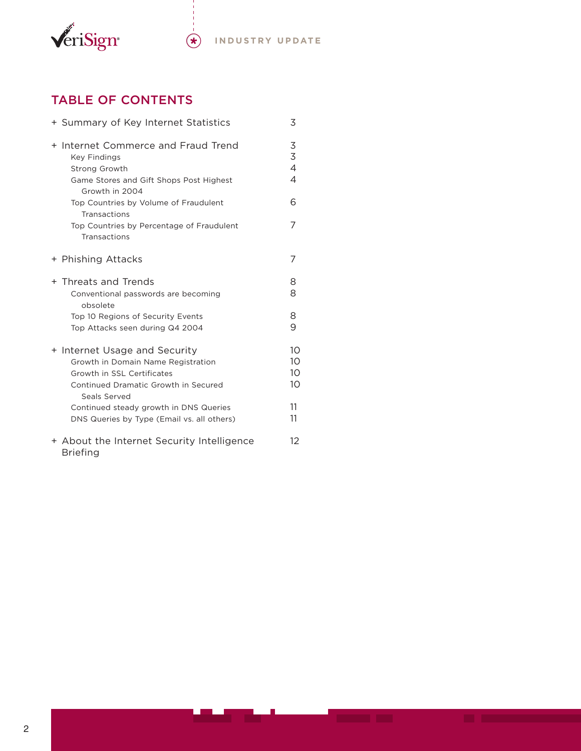

### **TABLE OF CONTENTS**

| + Summary of Key Internet Statistics                                                                                                                      | 3                                                           |
|-----------------------------------------------------------------------------------------------------------------------------------------------------------|-------------------------------------------------------------|
| + Internet Commerce and Fraud Trend<br><b>Key Findings</b><br>Strong Growth<br>Game Stores and Gift Shops Post Highest<br>Growth in 2004                  | 3<br>$\overline{3}$<br>$\overline{4}$<br>4                  |
| Top Countries by Volume of Fraudulent<br>Transactions                                                                                                     | 6                                                           |
| Top Countries by Percentage of Fraudulent<br>Transactions                                                                                                 | 7                                                           |
| + Phishing Attacks                                                                                                                                        | 7                                                           |
| + Threats and Trends<br>Conventional passwords are becoming<br>obsolete<br>Top 10 Regions of Security Events                                              | 8<br>8<br>8                                                 |
| Top Attacks seen during Q4 2004                                                                                                                           | 9                                                           |
| + Internet Usage and Security<br>Growth in Domain Name Registration<br>Growth in SSL Certificates<br>Continued Dramatic Growth in Secured<br>Seals Served | 10 <sup>2</sup><br>10 <sup>°</sup><br>10 <sup>°</sup><br>10 |
| Continued steady growth in DNS Queries<br>DNS Queries by Type (Email vs. all others)                                                                      | 11<br>11                                                    |
| + About the Internet Security Intelligence<br><b>Briefing</b>                                                                                             | 12                                                          |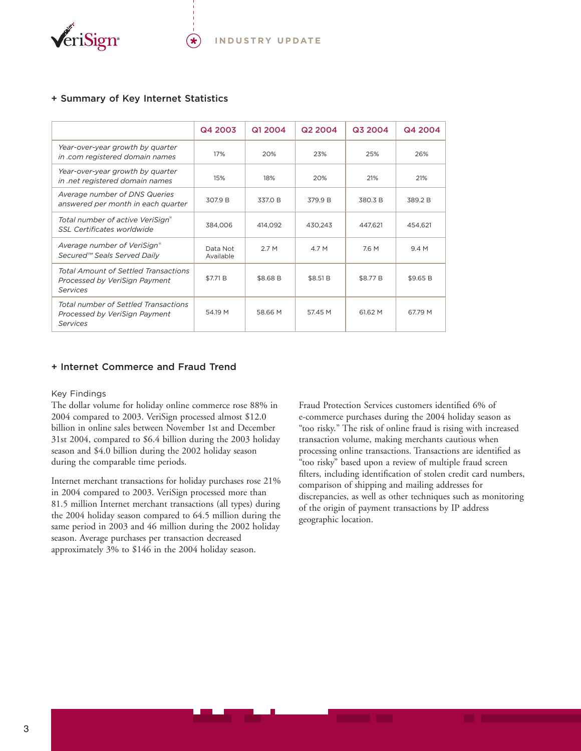

|                                                                                          | Q4 2003               | Q1 2004  | Q <sub>2</sub> 2004 | Q3 2004  | Q4 2004  |
|------------------------------------------------------------------------------------------|-----------------------|----------|---------------------|----------|----------|
| Year-over-year growth by quarter<br>in .com registered domain names                      | 17%                   | 20%      | 23%                 | 25%      | 26%      |
| Year-over-year growth by quarter<br>in .net registered domain names                      | 15%                   | 18%      | 20%                 | 21%      | 21%      |
| Average number of DNS Queries<br>answered per month in each quarter                      | 307.9 B               | 337.0 B  | 379.9 B             | 380.3 B  | 389.2 B  |
| Total number of active VeriSign®<br>SSL Certificates worldwide                           | 384.006               | 414.092  | 430.243             | 447.621  | 454.621  |
| Average number of VeriSign®<br>Secured™ Seals Served Daily                               | Data Not<br>Available | 2.7 M    | 47M                 | 7.6 M    | 9.4 M    |
| <b>Total Amount of Settled Transactions</b><br>Processed by VeriSign Payment<br>Services | \$7.71 B              | \$8.68 B | \$8.51 B            | \$8.77 B | \$9.65 B |
| Total number of Settled Transactions<br>Processed by VeriSign Payment<br>Services        | 54.19 M               | 58.66 M  | 57.45 M             | 61.62 M  | 67.79 M  |

#### **+ Summary of Key Internet Statistics**

#### **+ Internet Commerce and Fraud Trend**

#### Key Findings

The dollar volume for holiday online commerce rose 88% in 2004 compared to 2003. VeriSign processed almost \$12.0 billion in online sales between November 1st and December 31st 2004, compared to \$6.4 billion during the 2003 holiday season and \$4.0 billion during the 2002 holiday season during the comparable time periods.

Internet merchant transactions for holiday purchases rose 21% in 2004 compared to 2003. VeriSign processed more than 81.5 million Internet merchant transactions (all types) during the 2004 holiday season compared to 64.5 million during the same period in 2003 and 46 million during the 2002 holiday season. Average purchases per transaction decreased approximately 3% to \$146 in the 2004 holiday season.

Fraud Protection Services customers identified 6% of e-commerce purchases during the 2004 holiday season as "too risky." The risk of online fraud is rising with increased transaction volume, making merchants cautious when processing online transactions. Transactions are identified as "too risky" based upon a review of multiple fraud screen filters, including identification of stolen credit card numbers, comparison of shipping and mailing addresses for discrepancies, as well as other techniques such as monitoring of the origin of payment transactions by IP address geographic location.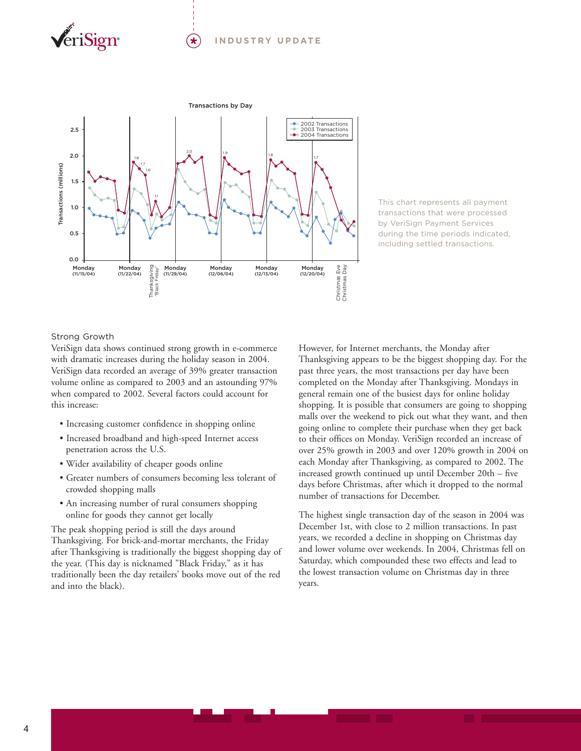#### **INDUSTRY UPDATE**

# **EriSign**



 $\star$ 

This chart represents all payment transactions that were processed by VeriSign Payment Services during the time periods indicated, including settled transactions.

#### Strong Growth

VeriSign data shows continued strong growth in e-commerce with dramatic increases during the holiday season in 2004. VeriSign data recorded an average of 39% greater transaction volume online as compared to 2003 and an astounding 97% when compared to 2002. Several factors could account for this increase:

- Increasing customer confidence in shopping online
- Increased broadband and high-speed Internet access penetration across the U.S.
- Wider availability of cheaper goods online
- Greater numbers of consumers becoming less tolerant of crowded shopping malls
- An increasing number of rural consumers shopping online for goods they cannot get locally

The peak shopping period is still the days around Thanksgiving. For brick-and-mortar merchants, the Friday after Thanksgiving is traditionally the biggest shopping day of the year. (This day is nicknamed "Black Friday," as it has traditionally been the day retailers' books move out of the red and into the black).

However, for Internet merchants, the Monday after Thanksgiving appears to be the biggest shopping day. For the past three years, the most transactions per day have been completed on the Monday after Thanksgiving. Mondays in general remain one of the busiest days for online holiday shopping. It is possible that consumers are going to shopping malls over the weekend to pick out what they want, and then going online to complete their purchase when they get back to their offices on Monday. VeriSign recorded an increase of over 25% growth in 2003 and over 120% growth in 2004 on each Monday after Thanksgiving, as compared to 2002. The increased growth continued up until December 20th – five days before Christmas, after which it dropped to the normal number of transactions for December.

The highest single transaction day of the season in 2004 was December 1st, with close to 2 million transactions. In past years, we recorded a decline in shopping on Christmas day and lower volume over weekends. In 2004, Christmas fell on Saturday, which compounded these two effects and lead to the lowest transaction volume on Christmas day in three years.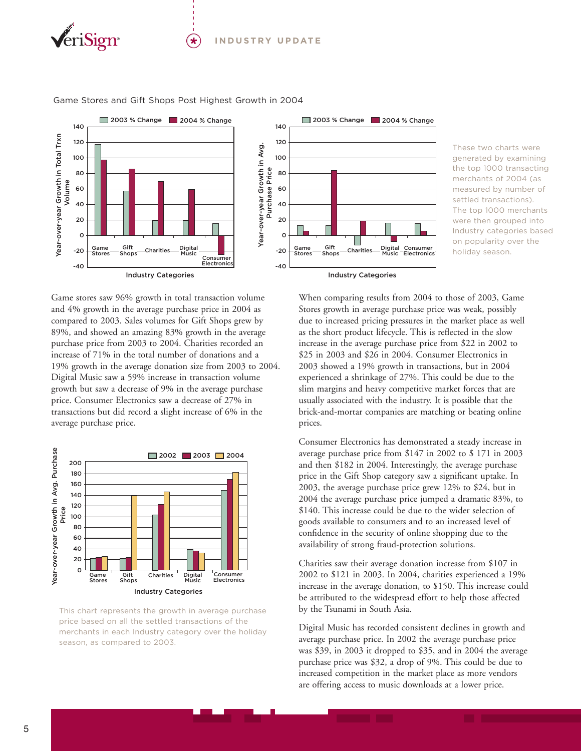





Game Stores and Gift Shops Post Highest Growth in 2004





This chart represents the growth in average purchase price based on all the settled transactions of the merchants in each Industry category over the holiday season, as compared to 2003.



These two charts were generated by examining the top 1000 transacting merchants of 2004 (as measured by number of settled transactions). The top 1000 merchants were then grouped into Industry categories based on popularity over the holiday season.

When comparing results from 2004 to those of 2003, Game Stores growth in average purchase price was weak, possibly due to increased pricing pressures in the market place as well as the short product lifecycle. This is reflected in the slow increase in the average purchase price from \$22 in 2002 to \$25 in 2003 and \$26 in 2004. Consumer Electronics in 2003 showed a 19% growth in transactions, but in 2004 experienced a shrinkage of 27%. This could be due to the slim margins and heavy competitive market forces that are usually associated with the industry. It is possible that the brick-and-mortar companies are matching or beating online prices.

Consumer Electronics has demonstrated a steady increase in average purchase price from \$147 in 2002 to \$ 171 in 2003 and then \$182 in 2004. Interestingly, the average purchase price in the Gift Shop category saw a significant uptake. In 2003, the average purchase price grew 12% to \$24, but in 2004 the average purchase price jumped a dramatic 83%, to \$140. This increase could be due to the wider selection of goods available to consumers and to an increased level of confidence in the security of online shopping due to the availability of strong fraud-protection solutions.

Charities saw their average donation increase from \$107 in 2002 to \$121 in 2003. In 2004, charities experienced a 19% increase in the average donation, to \$150. This increase could be attributed to the widespread effort to help those affected by the Tsunami in South Asia.

Digital Music has recorded consistent declines in growth and average purchase price. In 2002 the average purchase price was \$39, in 2003 it dropped to \$35, and in 2004 the average purchase price was \$32, a drop of 9%. This could be due to increased competition in the market place as more vendors are offering access to music downloads at a lower price.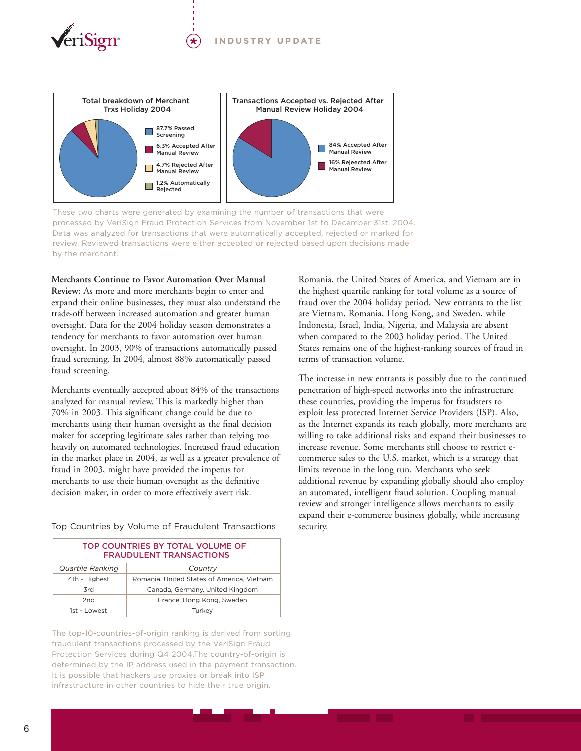#### **INDUSTRY UPDATE**





These two charts were generated by examining the number of transactions that were processed by VeriSign Fraud Protection Services from November 1st to December 31st, 2004. Data was analyzed for transactions that were automatically accepted, rejected or marked for review. Reviewed transactions were either accepted or rejected based upon decisions made by the merchant.

#### **Merchants Continue to Favor Automation Over Manual**

**Review:** As more and more merchants begin to enter and expand their online businesses, they must also understand the trade-off between increased automation and greater human oversight. Data for the 2004 holiday season demonstrates a tendency for merchants to favor automation over human oversight. In 2003, 90% of transactions automatically passed fraud screening. In 2004, almost 88% automatically passed fraud screening.

Merchants eventually accepted about 84% of the transactions analyzed for manual review. This is markedly higher than 70% in 2003. This significant change could be due to merchants using their human oversight as the final decision maker for accepting legitimate sales rather than relying too heavily on automated technologies. Increased fraud education in the market place in 2004, as well as a greater prevalence of fraud in 2003, might have provided the impetus for merchants to use their human oversight as the definitive decision maker, in order to more effectively avert risk.

Top Countries by Volume of Fraudulent Transactions

| TOP COUNTRIES BY TOTAL VOLUME OF<br><b>FRAUDULENT TRANSACTIONS</b> |                                            |  |  |
|--------------------------------------------------------------------|--------------------------------------------|--|--|
| <b>Quartile Ranking</b>                                            | Country                                    |  |  |
| 4th - Highest                                                      | Romania, United States of America, Vietnam |  |  |
| 3rd                                                                | Canada, Germany, United Kingdom            |  |  |
| 2 <sub>nd</sub>                                                    | France, Hong Kong, Sweden                  |  |  |
| 1st - Lowest                                                       | Turkey                                     |  |  |

*Q* determined by the IP address used in the payment transaction. The top-10-countries-of-origin ranking is derived from sorting fraudulent transactions processed by the VeriSign Fraud Protection Services during Q4 2004.The country-of-origin is It is possible that hackers use proxies or break into ISP infrastructure in other countries to hide their true origin.

Romania, the United States of America, and Vietnam are in the highest quartile ranking for total volume as a source of fraud over the 2004 holiday period. New entrants to the list are Vietnam, Romania, Hong Kong, and Sweden, while Indonesia, Israel, India, Nigeria, and Malaysia are absent when compared to the 2003 holiday period. The United States remains one of the highest-ranking sources of fraud in terms of transaction volume.

The increase in new entrants is possibly due to the continued penetration of high-speed networks into the infrastructure these countries, providing the impetus for fraudsters to exploit less protected Internet Service Providers (ISP). Also, as the Internet expands its reach globally, more merchants are willing to take additional risks and expand their businesses to increase revenue. Some merchants still choose to restrict ecommerce sales to the U.S. market, which is a strategy that limits revenue in the long run. Merchants who seek additional revenue by expanding globally should also employ an automated, intelligent fraud solution. Coupling manual review and stronger intelligence allows merchants to easily expand their e-commerce business globally, while increasing security.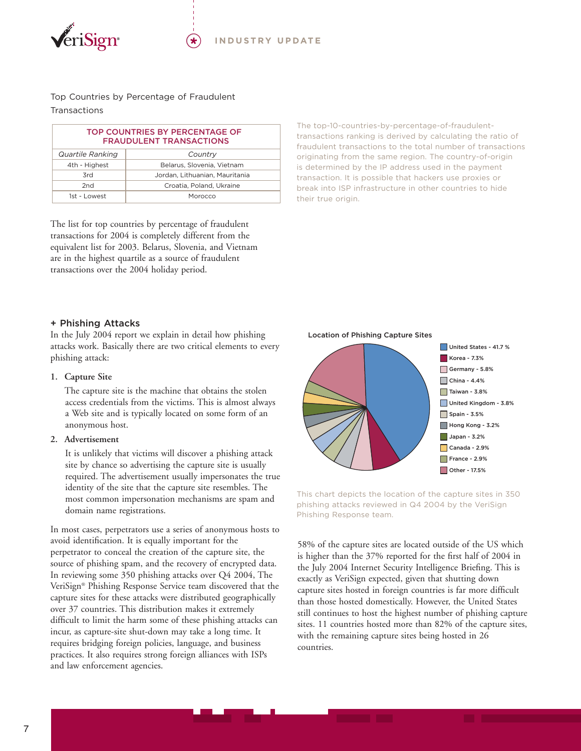



Top Countries by Percentage of Fraudulent Transactions

|                         | TOP COUNTRIES BY PERCENTAGE OF<br><b>FRAUDULENT TRANSACTIONS</b> |
|-------------------------|------------------------------------------------------------------|
| <b>Quartile Ranking</b> | Country                                                          |
| 4th - Highest           | Belarus, Slovenia, Vietnam                                       |
| 3rd                     | Jordan, Lithuanian, Mauritania                                   |
| 2nd                     | Croatia, Poland, Ukraine                                         |
| 1st - Lowest            | Morocco                                                          |

The list for top countries by percentage of fraudulent transactions for 2004 is completely different from the equivalent list for 2003. Belarus, Slovenia, and Vietnam are in the highest quartile as a source of fraudulent transactions over the 2004 holiday period.

The top-10-countries-by-percentage-of-fraudulenttransactions ranking is derived by calculating the ratio of fraudulent transactions to the total number of transactions originating from the same region. The country-of-origin is determined by the IP address used in the payment transaction. It is possible that hackers use proxies or break into ISP infrastructure in other countries to hide their true origin.

#### **+ Phishing Attacks**

In the July 2004 report we explain in detail how phishing attacks work. Basically there are two critical elements to every phishing attack:

#### **1. Capture Site**

The capture site is the machine that obtains the stolen access credentials from the victims. This is almost always a Web site and is typically located on some form of an anonymous host.

#### **2. Advertisement**

It is unlikely that victims will discover a phishing attack site by chance so advertising the capture site is usually required. The advertisement usually impersonates the true identity of the site that the capture site resembles. The most common impersonation mechanisms are spam and domain name registrations.

In most cases, perpetrators use a series of anonymous hosts to avoid identification. It is equally important for the perpetrator to conceal the creation of the capture site, the source of phishing spam, and the recovery of encrypted data. In reviewing some 350 phishing attacks over Q4 2004, The VeriSign® Phishing Response Service team discovered that the capture sites for these attacks were distributed geographically over 37 countries. This distribution makes it extremely difficult to limit the harm some of these phishing attacks can incur, as capture-site shut-down may take a long time. It requires bridging foreign policies, language, and business practices. It also requires strong foreign alliances with ISPs and law enforcement agencies.



This chart depicts the location of the capture sites in 350 phishing attacks reviewed in Q4 2004 by the VeriSign Phishing Response team.

58% of the capture sites are located outside of the US which is higher than the 37% reported for the first half of 2004 in the July 2004 Internet Security Intelligence Briefing. This is exactly as VeriSign expected, given that shutting down capture sites hosted in foreign countries is far more difficult than those hosted domestically. However, the United States still continues to host the highest number of phishing capture sites. 11 countries hosted more than 82% of the capture sites, with the remaining capture sites being hosted in 26 countries.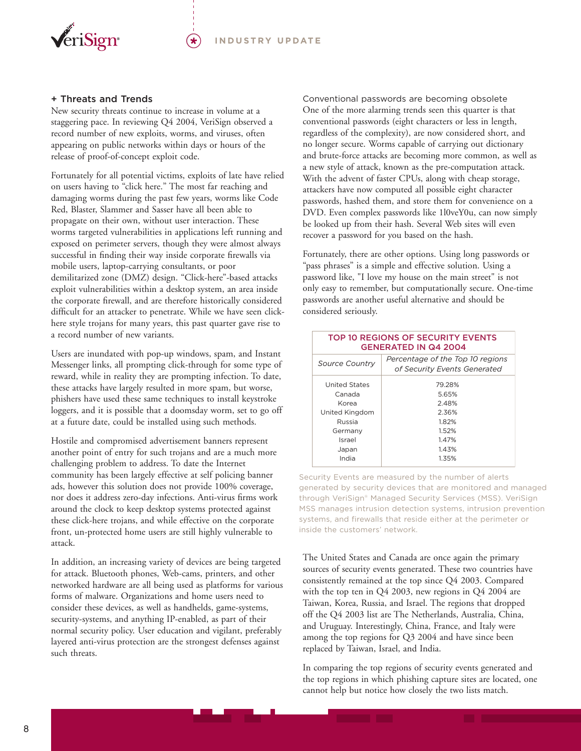

#### **+ Threats and Trends**

New security threats continue to increase in volume at a staggering pace. In reviewing Q4 2004, VeriSign observed a record number of new exploits, worms, and viruses, often appearing on public networks within days or hours of the release of proof-of-concept exploit code.

Fortunately for all potential victims, exploits of late have relied on users having to "click here." The most far reaching and damaging worms during the past few years, worms like Code Red, Blaster, Slammer and Sasser have all been able to propagate on their own, without user interaction. These worms targeted vulnerabilities in applications left running and exposed on perimeter servers, though they were almost always successful in finding their way inside corporate firewalls via mobile users, laptop-carrying consultants, or poor demilitarized zone (DMZ) design. "Click-here"-based attacks exploit vulnerabilities within a desktop system, an area inside the corporate firewall, and are therefore historically considered difficult for an attacker to penetrate. While we have seen clickhere style trojans for many years, this past quarter gave rise to a record number of new variants.

Users are inundated with pop-up windows, spam, and Instant Messenger links, all prompting click-through for some type of reward, while in reality they are prompting infection. To date, these attacks have largely resulted in more spam, but worse, phishers have used these same techniques to install keystroke loggers, and it is possible that a doomsday worm, set to go off at a future date, could be installed using such methods.

Hostile and compromised advertisement banners represent another point of entry for such trojans and are a much more challenging problem to address. To date the Internet community has been largely effective at self policing banner ads, however this solution does not provide 100% coverage, nor does it address zero-day infections. Anti-virus firms work around the clock to keep desktop systems protected against these click-here trojans, and while effective on the corporate front, un-protected home users are still highly vulnerable to attack.

In addition, an increasing variety of devices are being targeted for attack. Bluetooth phones, Web-cams, printers, and other networked hardware are all being used as platforms for various forms of malware. Organizations and home users need to consider these devices, as well as handhelds, game-systems, security-systems, and anything IP-enabled, as part of their normal security policy. User education and vigilant, preferably layered anti-virus protection are the strongest defenses against such threats.

Conventional passwords are becoming obsolete One of the more alarming trends seen this quarter is that conventional passwords (eight characters or less in length, regardless of the complexity), are now considered short, and no longer secure. Worms capable of carrying out dictionary and brute-force attacks are becoming more common, as well as a new style of attack, known as the pre-computation attack. With the advent of faster CPUs, along with cheap storage, attackers have now computed all possible eight character passwords, hashed them, and store them for convenience on a DVD. Even complex passwords like 1l0veY0u, can now simply be looked up from their hash. Several Web sites will even recover a password for you based on the hash.

Fortunately, there are other options. Using long passwords or "pass phrases" is a simple and effective solution. Using a password like, "I love my house on the main street" is not only easy to remember, but computationally secure. One-time passwords are another useful alternative and should be considered seriously.

| TOP 10 REGIONS OF SECURITY EVENTS<br><b>GENERATED IN Q4 2004</b> |                                                                  |  |  |
|------------------------------------------------------------------|------------------------------------------------------------------|--|--|
| Source Country                                                   | Percentage of the Top 10 regions<br>of Security Events Generated |  |  |
| <b>United States</b>                                             | 79.28%                                                           |  |  |
| Canada                                                           | 5.65%                                                            |  |  |
| Korea                                                            | 2.48%                                                            |  |  |
| United Kingdom                                                   | 2.36%                                                            |  |  |
| Russia                                                           | 182%                                                             |  |  |
| Germany                                                          | 1.52%                                                            |  |  |
| Israel                                                           | 1.47%                                                            |  |  |
| Japan                                                            | 1.43%                                                            |  |  |
| India                                                            | 1.35%                                                            |  |  |

Security Events are measured by the number of alerts generated by security devices that are monitored and managed through VeriSign® Managed Security Services (MSS). VeriSign MSS manages intrusion detection systems, intrusion prevention systems, and firewalls that reside either at the perimeter or inside the customers' network.

The United States and Canada are once again the primary sources of security events generated. These two countries have consistently remained at the top since Q4 2003. Compared with the top ten in Q4 2003, new regions in Q4 2004 are Taiwan, Korea, Russia, and Israel. The regions that dropped off the Q4 2003 list are The Netherlands, Australia, China, and Uruguay. Interestingly, China, France, and Italy were among the top regions for Q3 2004 and have since been replaced by Taiwan, Israel, and India.

In comparing the top regions of security events generated and the top regions in which phishing capture sites are located, one cannot help but notice how closely the two lists match.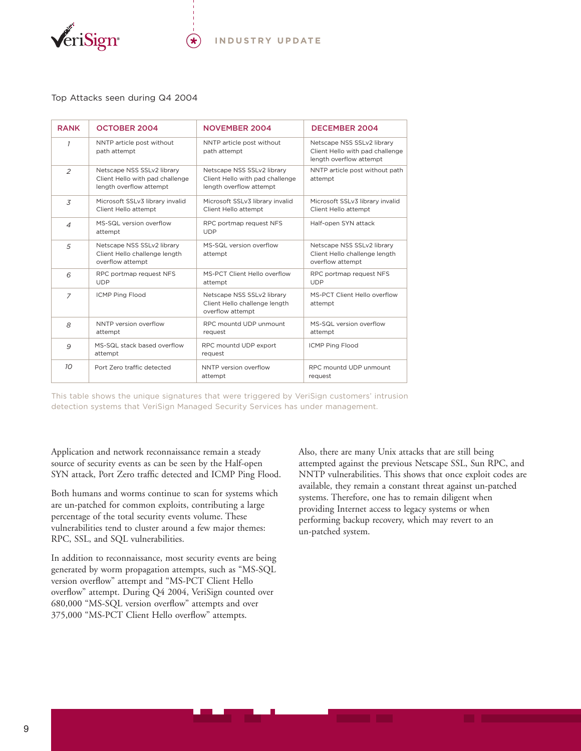

#### Top Attacks seen during Q4 2004

| <b>RANK</b>              | OCTOBER 2004                                                                             | <b>NOVEMBER 2004</b>                                                                     | DECEMBER 2004                                                                            |
|--------------------------|------------------------------------------------------------------------------------------|------------------------------------------------------------------------------------------|------------------------------------------------------------------------------------------|
| $\mathcal{I}$            | NNTP article post without<br>path attempt                                                | NNTP article post without<br>path attempt                                                | Netscape NSS SSLv2 library<br>Client Hello with pad challenge<br>length overflow attempt |
| $\overline{c}$           | Netscape NSS SSLv2 library<br>Client Hello with pad challenge<br>length overflow attempt | Netscape NSS SSLv2 library<br>Client Hello with pad challenge<br>length overflow attempt | NNTP article post without path<br>attempt                                                |
| 3                        | Microsoft SSLv3 library invalid<br>Client Hello attempt                                  | Microsoft SSLv3 library invalid<br>Client Hello attempt                                  | Microsoft SSLv3 library invalid<br>Client Hello attempt                                  |
| $\overline{\mathcal{A}}$ | MS-SQL version overflow<br>attempt                                                       | RPC portmap request NFS<br><b>UDP</b>                                                    | Half-open SYN attack                                                                     |
| 5                        | Netscape NSS SSLv2 library<br>Client Hello challenge length<br>overflow attempt          | MS-SQL version overflow<br>attempt                                                       | Netscape NSS SSLv2 library<br>Client Hello challenge length<br>overflow attempt          |
| 6                        | RPC portmap request NFS<br><b>UDP</b>                                                    | MS-PCT Client Hello overflow<br>attempt                                                  | RPC portmap request NFS<br><b>UDP</b>                                                    |
| $\overline{7}$           | ICMP Ping Flood                                                                          | Netscape NSS SSLv2 library<br>Client Hello challenge length<br>overflow attempt          | MS-PCT Client Hello overflow<br>attempt                                                  |
| 8                        | NNTP version overflow<br>attempt                                                         | RPC mountd UDP unmount<br>request                                                        | MS-SQL version overflow<br>attempt                                                       |
| 9                        | MS-SQL stack based overflow<br>attempt                                                   | RPC mountd UDP export<br>request                                                         | <b>ICMP Ping Flood</b>                                                                   |
| 10 <sup>2</sup>          | Port Zero traffic detected                                                               | NNTP version overflow<br>attempt                                                         | RPC mountd UDP unmount<br>request                                                        |

This table shows the unique signatures that were triggered by VeriSign customers' intrusion detection systems that VeriSign Managed Security Services has under management.

Application and network reconnaissance remain a steady source of security events as can be seen by the Half-open SYN attack, Port Zero traffic detected and ICMP Ping Flood.

Both humans and worms continue to scan for systems which are un-patched for common exploits, contributing a large percentage of the total security events volume. These vulnerabilities tend to cluster around a few major themes: RPC, SSL, and SQL vulnerabilities.

In addition to reconnaissance, most security events are being generated by worm propagation attempts, such as "MS-SQL version overflow" attempt and "MS-PCT Client Hello overflow" attempt. During Q4 2004, VeriSign counted over 680,000 "MS-SQL version overflow" attempts and over 375,000 "MS-PCT Client Hello overflow" attempts.

Also, there are many Unix attacks that are still being attempted against the previous Netscape SSL, Sun RPC, and NNTP vulnerabilities. This shows that once exploit codes are available, they remain a constant threat against un-patched systems. Therefore, one has to remain diligent when providing Internet access to legacy systems or when performing backup recovery, which may revert to an un-patched system.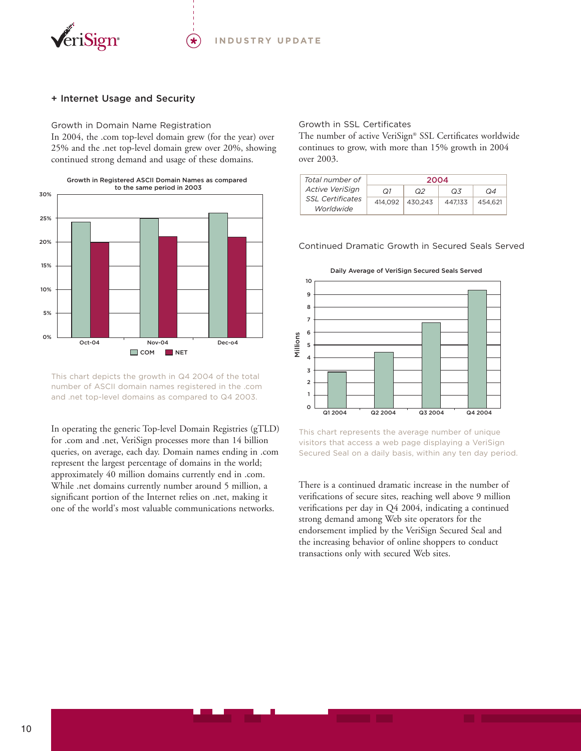



#### **+ Internet Usage and Security**

Growth in Domain Name Registration In 2004, the .com top-level domain grew (for the year) over 25% and the .net top-level domain grew over 20%, showing continued strong demand and usage of these domains.



This chart depicts the growth in Q4 2004 of the total number of ASCII domain names registered in the .com and .net top-level domains as compared to Q4 2003.

In operating the generic Top-level Domain Registries (gTLD) for .com and .net, VeriSign processes more than 14 billion queries, on average, each day. Domain names ending in .com represent the largest percentage of domains in the world; approximately 40 million domains currently end in .com. While .net domains currently number around 5 million, a significant portion of the Internet relies on .net, making it one of the world's most valuable communications networks.

Growth in SSL Certificates

The number of active VeriSign® SSL Certificates worldwide continues to grow, with more than 15% growth in 2004 over 2003.

| Total number of                                                | 2004    |         |         |         |
|----------------------------------------------------------------|---------|---------|---------|---------|
| <b>Active VeriSign</b><br><b>SSL</b> Certificates<br>Worldwide | O1      | Q2      | O.3     | Q4      |
|                                                                | 414.092 | 430.243 | 447.133 | 454.621 |

Continued Dramatic Growth in Secured Seals Served



This chart represents the average number of unique visitors that access a web page displaying a VeriSign Secured Seal on a daily basis, within any ten day period.

There is a continued dramatic increase in the number of verifications of secure sites, reaching well above 9 million verifications per day in Q4 2004, indicating a continued strong demand among Web site operators for the endorsement implied by the VeriSign Secured Seal and the increasing behavior of online shoppers to conduct transactions only with secured Web sites.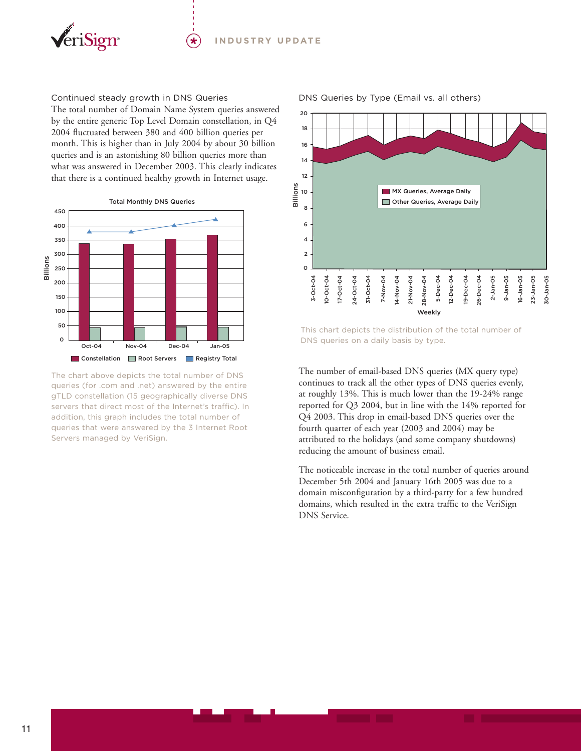

Continued steady growth in DNS Queries The total number of Domain Name System queries answered by the entire generic Top Level Domain constellation, in Q4 2004 fluctuated between 380 and 400 billion queries per month. This is higher than in July 2004 by about 30 billion queries and is an astonishing 80 billion queries more than what was answered in December 2003. This clearly indicates that there is a continued healthy growth in Internet usage.



The chart above depicts the total number of DNS queries (for .com and .net) answered by the entire gTLD constellation (15 geographically diverse DNS servers that direct most of the Internet's traffic). In addition, this graph includes the total number of queries that were answered by the 3 Internet Root Servers managed by VeriSign.



#### DNS Queries by Type (Email vs. all others)

This chart depicts the distribution of the total number of DNS queries on a daily basis by type.

The number of email-based DNS queries (MX query type) continues to track all the other types of DNS queries evenly, at roughly 13%. This is much lower than the 19-24% range reported for Q3 2004, but in line with the 14% reported for Q4 2003. This drop in email-based DNS queries over the fourth quarter of each year (2003 and 2004) may be attributed to the holidays (and some company shutdowns) reducing the amount of business email.

The noticeable increase in the total number of queries around December 5th 2004 and January 16th 2005 was due to a domain misconfiguration by a third-party for a few hundred domains, which resulted in the extra traffic to the VeriSign DNS Service.